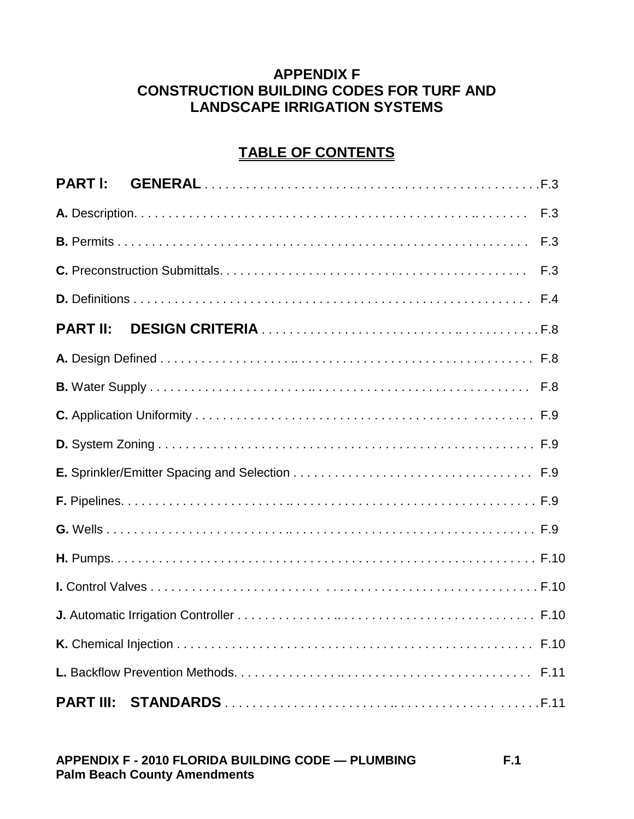## **APPENDIX F CONSTRUCTION BUILDING CODES FOR TURF AND LANDSCAPE IRRIGATION SYSTEMS**

# **TABLE OF CONTENTS**

| <b>PART I:</b>  |  |
|-----------------|--|
|                 |  |
|                 |  |
|                 |  |
|                 |  |
| <b>PART II:</b> |  |
|                 |  |
|                 |  |
|                 |  |
|                 |  |
|                 |  |
|                 |  |
|                 |  |
|                 |  |
|                 |  |
|                 |  |
|                 |  |
|                 |  |
|                 |  |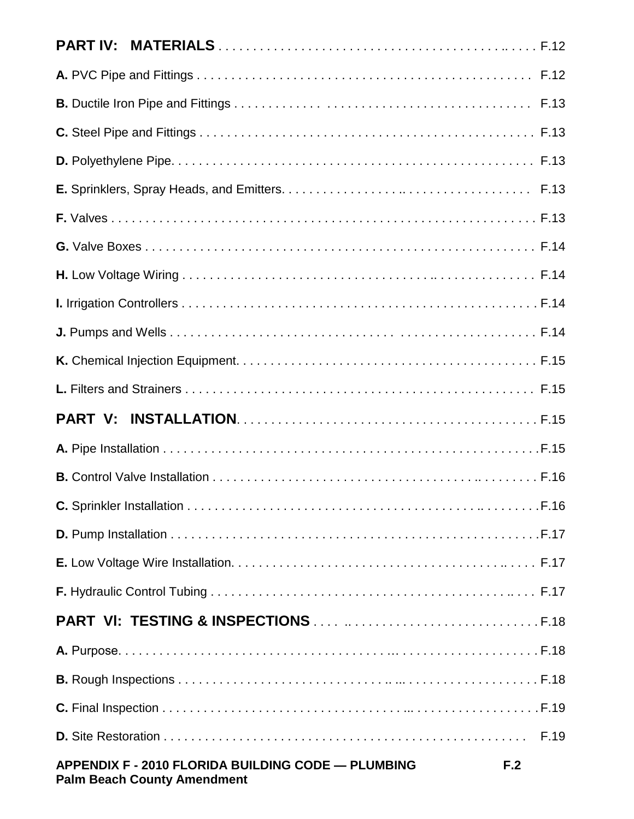|                                                                                          | F.19 |
|------------------------------------------------------------------------------------------|------|
| APPENDIX F - 2010 FLORIDA BUILDING CODE - PLUMBING<br><b>Palm Beach County Amendment</b> | F.2  |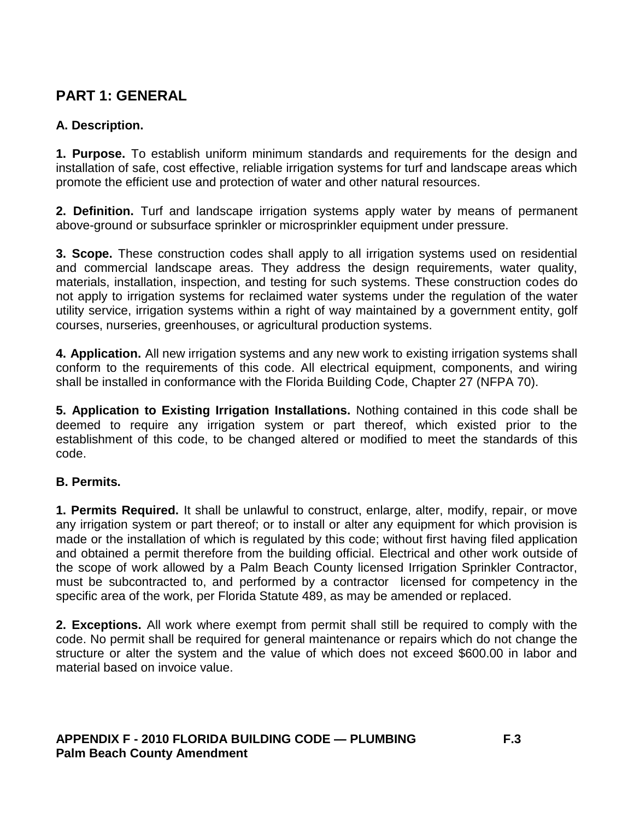# **PART 1: GENERAL**

## **A. Description.**

**1. Purpose.** To establish uniform minimum standards and requirements for the design and installation of safe, cost effective, reliable irrigation systems for turf and landscape areas which promote the efficient use and protection of water and other natural resources.

**2. Definition.** Turf and landscape irrigation systems apply water by means of permanent above-ground or subsurface sprinkler or microsprinkler equipment under pressure.

**3. Scope.** These construction codes shall apply to all irrigation systems used on residential and commercial landscape areas. They address the design requirements, water quality, materials, installation, inspection, and testing for such systems. These construction codes do not apply to irrigation systems for reclaimed water systems under the regulation of the water utility service, irrigation systems within a right of way maintained by a government entity, golf courses, nurseries, greenhouses, or agricultural production systems.

**4. Application.** All new irrigation systems and any new work to existing irrigation systems shall conform to the requirements of this code. All electrical equipment, components, and wiring shall be installed in conformance with the Florida Building Code, Chapter 27 (NFPA 70).

**5. Application to Existing Irrigation Installations.** Nothing contained in this code shall be deemed to require any irrigation system or part thereof, which existed prior to the establishment of this code, to be changed altered or modified to meet the standards of this code.

## **B. Permits.**

**1. Permits Required.** It shall be unlawful to construct, enlarge, alter, modify, repair, or move any irrigation system or part thereof; or to install or alter any equipment for which provision is made or the installation of which is regulated by this code; without first having filed application and obtained a permit therefore from the building official. Electrical and other work outside of the scope of work allowed by a Palm Beach County licensed Irrigation Sprinkler Contractor, must be subcontracted to, and performed by a contractor licensed for competency in the specific area of the work, per Florida Statute 489, as may be amended or replaced.

**2. Exceptions.** All work where exempt from permit shall still be required to comply with the code. No permit shall be required for general maintenance or repairs which do not change the structure or alter the system and the value of which does not exceed \$600.00 in labor and material based on invoice value.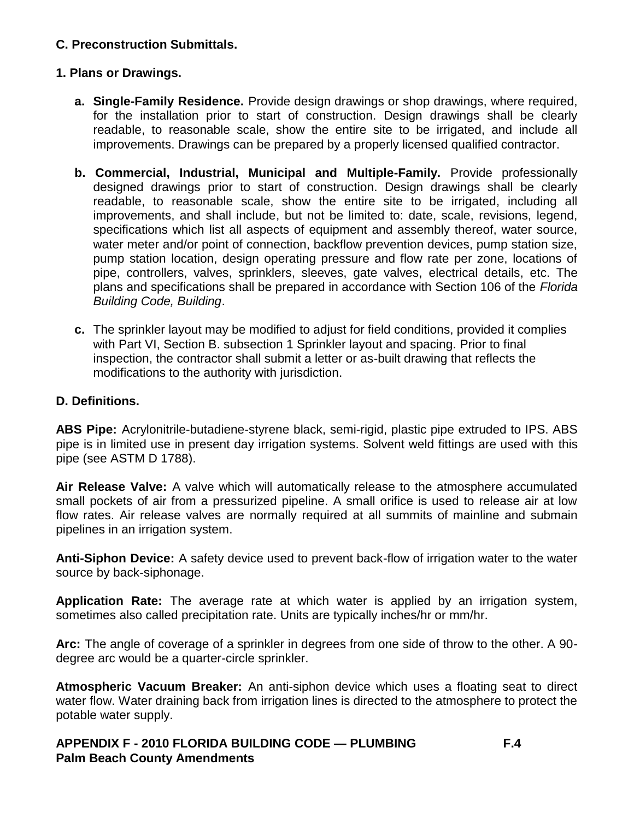## **C. Preconstruction Submittals.**

## **1. Plans or Drawings.**

- **a. Single-Family Residence.** Provide design drawings or shop drawings, where required, for the installation prior to start of construction. Design drawings shall be clearly readable, to reasonable scale, show the entire site to be irrigated, and include all improvements. Drawings can be prepared by a properly licensed qualified contractor.
- **b. Commercial, Industrial, Municipal and Multiple-Family.** Provide professionally designed drawings prior to start of construction. Design drawings shall be clearly readable, to reasonable scale, show the entire site to be irrigated, including all improvements, and shall include, but not be limited to: date, scale, revisions, legend, specifications which list all aspects of equipment and assembly thereof, water source, water meter and/or point of connection, backflow prevention devices, pump station size, pump station location, design operating pressure and flow rate per zone, locations of pipe, controllers, valves, sprinklers, sleeves, gate valves, electrical details, etc. The plans and specifications shall be prepared in accordance with Section 106 of the *Florida Building Code, Building*.
- **c.** The sprinkler layout may be modified to adjust for field conditions, provided it complies with Part VI, Section B. subsection 1 Sprinkler layout and spacing. Prior to final inspection, the contractor shall submit a letter or as-built drawing that reflects the modifications to the authority with jurisdiction.

## **D. Definitions.**

**ABS Pipe:** Acrylonitrile-butadiene-styrene black, semi-rigid, plastic pipe extruded to IPS. ABS pipe is in limited use in present day irrigation systems. Solvent weld fittings are used with this pipe (see ASTM D 1788).

**Air Release Valve:** A valve which will automatically release to the atmosphere accumulated small pockets of air from a pressurized pipeline. A small orifice is used to release air at low flow rates. Air release valves are normally required at all summits of mainline and submain pipelines in an irrigation system.

**Anti-Siphon Device:** A safety device used to prevent back-flow of irrigation water to the water source by back-siphonage.

**Application Rate:** The average rate at which water is applied by an irrigation system, sometimes also called precipitation rate. Units are typically inches/hr or mm/hr.

**Arc:** The angle of coverage of a sprinkler in degrees from one side of throw to the other. A 90 degree arc would be a quarter-circle sprinkler.

**Atmospheric Vacuum Breaker:** An anti-siphon device which uses a floating seat to direct water flow. Water draining back from irrigation lines is directed to the atmosphere to protect the potable water supply.

**APPENDIX F - 2010 FLORIDA BUILDING CODE — PLUMBING F.4 Palm Beach County Amendments**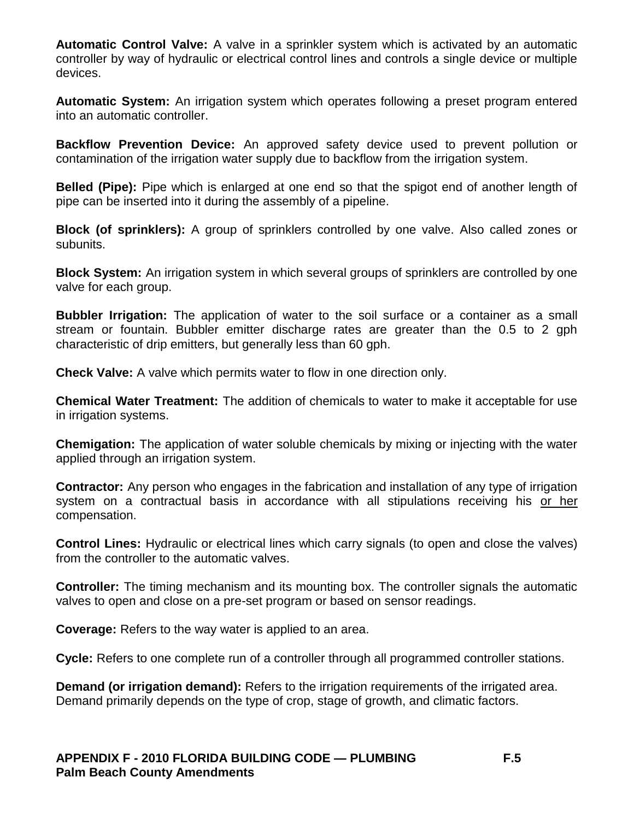**Automatic Control Valve:** A valve in a sprinkler system which is activated by an automatic controller by way of hydraulic or electrical control lines and controls a single device or multiple devices.

**Automatic System:** An irrigation system which operates following a preset program entered into an automatic controller.

**Backflow Prevention Device:** An approved safety device used to prevent pollution or contamination of the irrigation water supply due to backflow from the irrigation system.

**Belled (Pipe):** Pipe which is enlarged at one end so that the spigot end of another length of pipe can be inserted into it during the assembly of a pipeline.

**Block (of sprinklers):** A group of sprinklers controlled by one valve. Also called zones or subunits.

**Block System:** An irrigation system in which several groups of sprinklers are controlled by one valve for each group.

**Bubbler Irrigation:** The application of water to the soil surface or a container as a small stream or fountain. Bubbler emitter discharge rates are greater than the 0.5 to 2 gph characteristic of drip emitters, but generally less than 60 gph.

**Check Valve:** A valve which permits water to flow in one direction only.

**Chemical Water Treatment:** The addition of chemicals to water to make it acceptable for use in irrigation systems.

**Chemigation:** The application of water soluble chemicals by mixing or injecting with the water applied through an irrigation system.

**Contractor:** Any person who engages in the fabrication and installation of any type of irrigation system on a contractual basis in accordance with all stipulations receiving his or her compensation.

**Control Lines:** Hydraulic or electrical lines which carry signals (to open and close the valves) from the controller to the automatic valves.

**Controller:** The timing mechanism and its mounting box. The controller signals the automatic valves to open and close on a pre-set program or based on sensor readings.

**Coverage:** Refers to the way water is applied to an area.

**Cycle:** Refers to one complete run of a controller through all programmed controller stations.

**Demand (or irrigation demand):** Refers to the irrigation requirements of the irrigated area. Demand primarily depends on the type of crop, stage of growth, and climatic factors.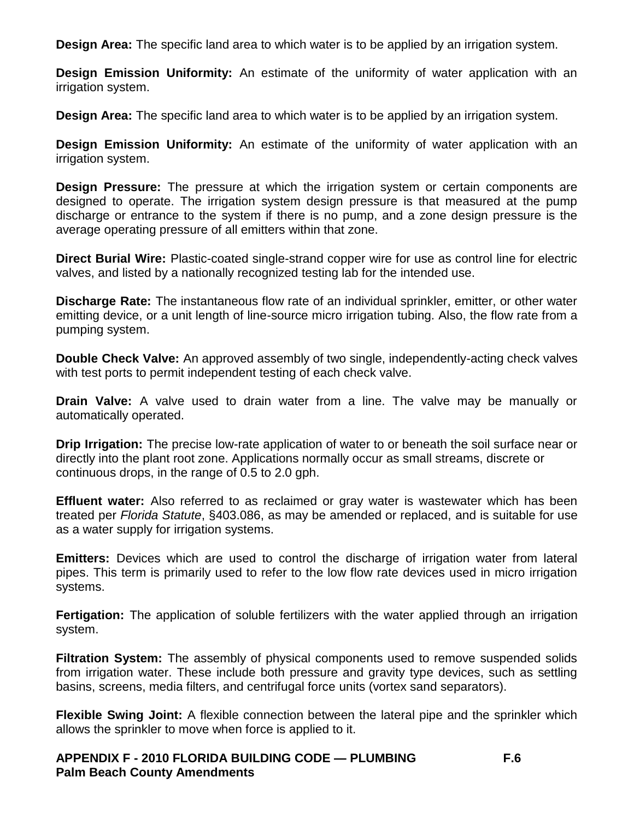**Design Area:** The specific land area to which water is to be applied by an irrigation system.

**Design Emission Uniformity:** An estimate of the uniformity of water application with an irrigation system.

**Design Area:** The specific land area to which water is to be applied by an irrigation system.

**Design Emission Uniformity:** An estimate of the uniformity of water application with an irrigation system.

**Design Pressure:** The pressure at which the irrigation system or certain components are designed to operate. The irrigation system design pressure is that measured at the pump discharge or entrance to the system if there is no pump, and a zone design pressure is the average operating pressure of all emitters within that zone.

**Direct Burial Wire:** Plastic-coated single-strand copper wire for use as control line for electric valves, and listed by a nationally recognized testing lab for the intended use.

**Discharge Rate:** The instantaneous flow rate of an individual sprinkler, emitter, or other water emitting device, or a unit length of line-source micro irrigation tubing. Also, the flow rate from a pumping system.

**Double Check Valve:** An approved assembly of two single, independently-acting check valves with test ports to permit independent testing of each check valve.

**Drain Valve:** A valve used to drain water from a line. The valve may be manually or automatically operated.

**Drip Irrigation:** The precise low-rate application of water to or beneath the soil surface near or directly into the plant root zone. Applications normally occur as small streams, discrete or continuous drops, in the range of 0.5 to 2.0 gph.

**Effluent water:** Also referred to as reclaimed or gray water is wastewater which has been treated per *Florida Statute*, §403.086, as may be amended or replaced, and is suitable for use as a water supply for irrigation systems.

**Emitters:** Devices which are used to control the discharge of irrigation water from lateral pipes. This term is primarily used to refer to the low flow rate devices used in micro irrigation systems.

**Fertigation:** The application of soluble fertilizers with the water applied through an irrigation system.

**Filtration System:** The assembly of physical components used to remove suspended solids from irrigation water. These include both pressure and gravity type devices, such as settling basins, screens, media filters, and centrifugal force units (vortex sand separators).

**Flexible Swing Joint:** A flexible connection between the lateral pipe and the sprinkler which allows the sprinkler to move when force is applied to it.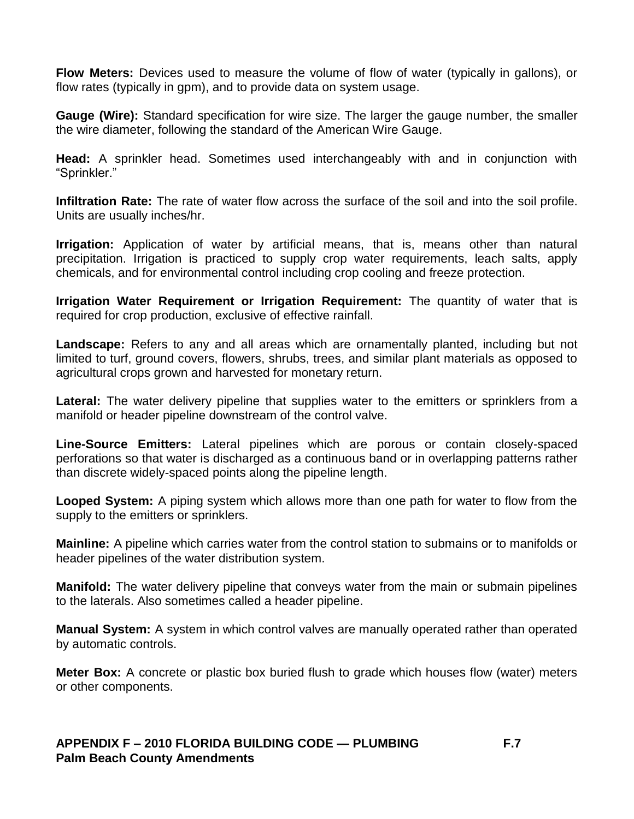**Flow Meters:** Devices used to measure the volume of flow of water (typically in gallons), or flow rates (typically in gpm), and to provide data on system usage.

**Gauge (Wire):** Standard specification for wire size. The larger the gauge number, the smaller the wire diameter, following the standard of the American Wire Gauge.

**Head:** A sprinkler head. Sometimes used interchangeably with and in conjunction with "Sprinkler."

**Infiltration Rate:** The rate of water flow across the surface of the soil and into the soil profile. Units are usually inches/hr.

**Irrigation:** Application of water by artificial means, that is, means other than natural precipitation. Irrigation is practiced to supply crop water requirements, leach salts, apply chemicals, and for environmental control including crop cooling and freeze protection.

**Irrigation Water Requirement or Irrigation Requirement:** The quantity of water that is required for crop production, exclusive of effective rainfall.

Landscape: Refers to any and all areas which are ornamentally planted, including but not limited to turf, ground covers, flowers, shrubs, trees, and similar plant materials as opposed to agricultural crops grown and harvested for monetary return.

**Lateral:** The water delivery pipeline that supplies water to the emitters or sprinklers from a manifold or header pipeline downstream of the control valve.

**Line-Source Emitters:** Lateral pipelines which are porous or contain closely-spaced perforations so that water is discharged as a continuous band or in overlapping patterns rather than discrete widely-spaced points along the pipeline length.

**Looped System:** A piping system which allows more than one path for water to flow from the supply to the emitters or sprinklers.

**Mainline:** A pipeline which carries water from the control station to submains or to manifolds or header pipelines of the water distribution system.

**Manifold:** The water delivery pipeline that conveys water from the main or submain pipelines to the laterals. Also sometimes called a header pipeline.

**Manual System:** A system in which control valves are manually operated rather than operated by automatic controls.

**Meter Box:** A concrete or plastic box buried flush to grade which houses flow (water) meters or other components.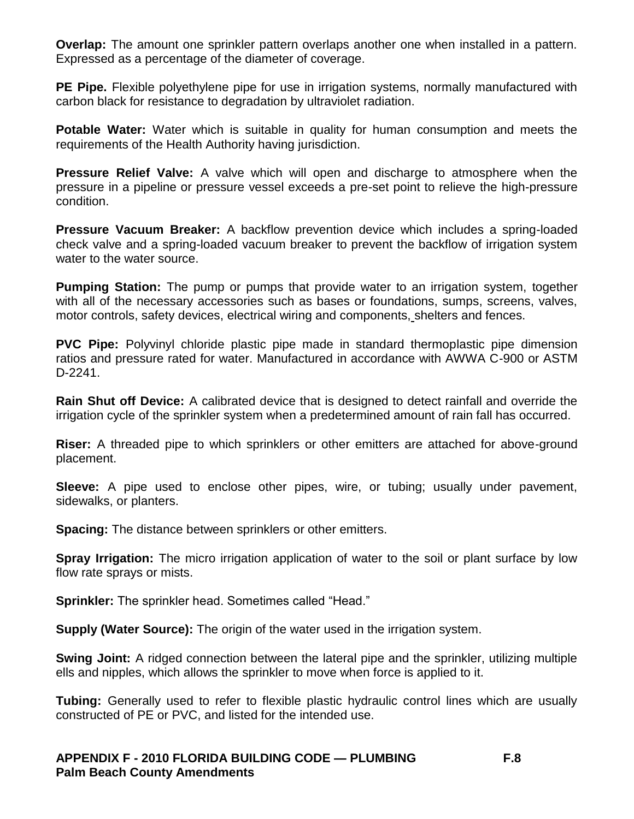**Overlap:** The amount one sprinkler pattern overlaps another one when installed in a pattern. Expressed as a percentage of the diameter of coverage.

**PE Pipe.** Flexible polyethylene pipe for use in irrigation systems, normally manufactured with carbon black for resistance to degradation by ultraviolet radiation.

**Potable Water:** Water which is suitable in quality for human consumption and meets the requirements of the Health Authority having jurisdiction.

**Pressure Relief Valve:** A valve which will open and discharge to atmosphere when the pressure in a pipeline or pressure vessel exceeds a pre-set point to relieve the high-pressure condition.

**Pressure Vacuum Breaker:** A backflow prevention device which includes a spring-loaded check valve and a spring-loaded vacuum breaker to prevent the backflow of irrigation system water to the water source.

**Pumping Station:** The pump or pumps that provide water to an irrigation system, together with all of the necessary accessories such as bases or foundations, sumps, screens, valves, motor controls, safety devices, electrical wiring and components, shelters and fences.

**PVC Pipe:** Polyvinyl chloride plastic pipe made in standard thermoplastic pipe dimension ratios and pressure rated for water. Manufactured in accordance with AWWA C-900 or ASTM D-2241.

**Rain Shut off Device:** A calibrated device that is designed to detect rainfall and override the irrigation cycle of the sprinkler system when a predetermined amount of rain fall has occurred.

**Riser:** A threaded pipe to which sprinklers or other emitters are attached for above-ground placement.

**Sleeve:** A pipe used to enclose other pipes, wire, or tubing; usually under pavement, sidewalks, or planters.

**Spacing:** The distance between sprinklers or other emitters.

**Spray Irrigation:** The micro irrigation application of water to the soil or plant surface by low flow rate sprays or mists.

**Sprinkler:** The sprinkler head. Sometimes called "Head."

**Supply (Water Source):** The origin of the water used in the irrigation system.

**Swing Joint:** A ridged connection between the lateral pipe and the sprinkler, utilizing multiple ells and nipples, which allows the sprinkler to move when force is applied to it.

**Tubing:** Generally used to refer to flexible plastic hydraulic control lines which are usually constructed of PE or PVC, and listed for the intended use.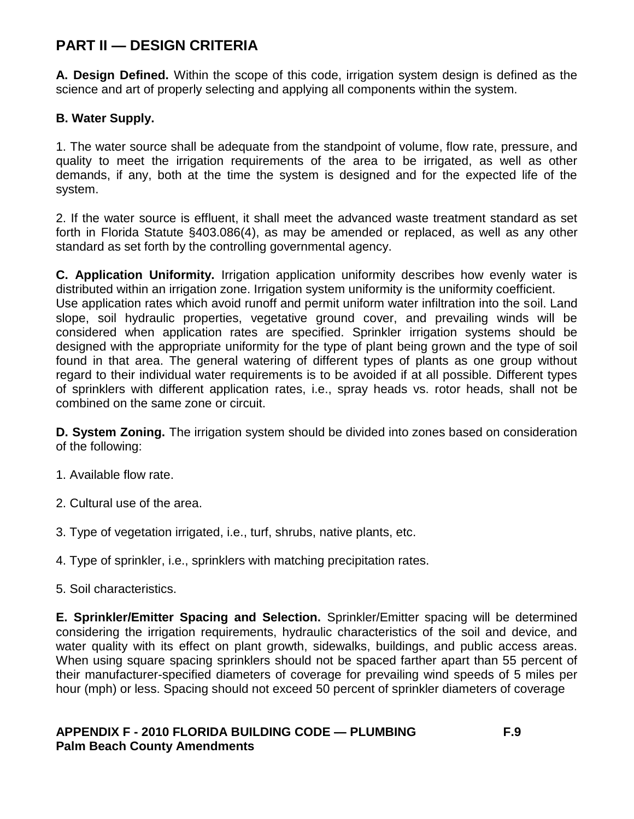## **PART II — DESIGN CRITERIA**

**A. Design Defined.** Within the scope of this code, irrigation system design is defined as the science and art of properly selecting and applying all components within the system.

## **B. Water Supply.**

1. The water source shall be adequate from the standpoint of volume, flow rate, pressure, and quality to meet the irrigation requirements of the area to be irrigated, as well as other demands, if any, both at the time the system is designed and for the expected life of the system.

2. If the water source is effluent, it shall meet the advanced waste treatment standard as set forth in Florida Statute §403.086(4), as may be amended or replaced, as well as any other standard as set forth by the controlling governmental agency.

**C. Application Uniformity.** Irrigation application uniformity describes how evenly water is distributed within an irrigation zone. Irrigation system uniformity is the uniformity coefficient. Use application rates which avoid runoff and permit uniform water infiltration into the soil. Land slope, soil hydraulic properties, vegetative ground cover, and prevailing winds will be considered when application rates are specified. Sprinkler irrigation systems should be designed with the appropriate uniformity for the type of plant being grown and the type of soil found in that area. The general watering of different types of plants as one group without regard to their individual water requirements is to be avoided if at all possible. Different types of sprinklers with different application rates, i.e., spray heads vs. rotor heads, shall not be combined on the same zone or circuit.

**D. System Zoning.** The irrigation system should be divided into zones based on consideration of the following:

- 1. Available flow rate.
- 2. Cultural use of the area.
- 3. Type of vegetation irrigated, i.e., turf, shrubs, native plants, etc.
- 4. Type of sprinkler, i.e., sprinklers with matching precipitation rates.
- 5. Soil characteristics.

**E. Sprinkler/Emitter Spacing and Selection.** Sprinkler/Emitter spacing will be determined considering the irrigation requirements, hydraulic characteristics of the soil and device, and water quality with its effect on plant growth, sidewalks, buildings, and public access areas. When using square spacing sprinklers should not be spaced farther apart than 55 percent of their manufacturer-specified diameters of coverage for prevailing wind speeds of 5 miles per hour (mph) or less. Spacing should not exceed 50 percent of sprinkler diameters of coverage

### **APPENDIX F - 2010 FLORIDA BUILDING CODE — PLUMBING F.9 Palm Beach County Amendments**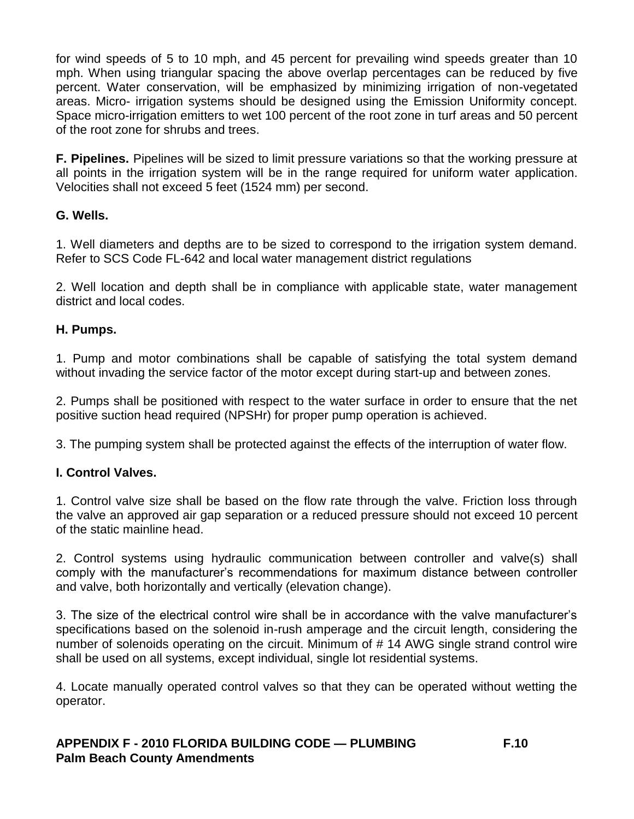for wind speeds of 5 to 10 mph, and 45 percent for prevailing wind speeds greater than 10 mph. When using triangular spacing the above overlap percentages can be reduced by five percent. Water conservation, will be emphasized by minimizing irrigation of non-vegetated areas. Micro- irrigation systems should be designed using the Emission Uniformity concept. Space micro-irrigation emitters to wet 100 percent of the root zone in turf areas and 50 percent of the root zone for shrubs and trees.

**F. Pipelines.** Pipelines will be sized to limit pressure variations so that the working pressure at all points in the irrigation system will be in the range required for uniform water application. Velocities shall not exceed 5 feet (1524 mm) per second.

### **G. Wells.**

1. Well diameters and depths are to be sized to correspond to the irrigation system demand. Refer to SCS Code FL-642 and local water management district regulations

2. Well location and depth shall be in compliance with applicable state, water management district and local codes.

#### **H. Pumps.**

1. Pump and motor combinations shall be capable of satisfying the total system demand without invading the service factor of the motor except during start-up and between zones.

2. Pumps shall be positioned with respect to the water surface in order to ensure that the net positive suction head required (NPSHr) for proper pump operation is achieved.

3. The pumping system shall be protected against the effects of the interruption of water flow.

## **I. Control Valves.**

1. Control valve size shall be based on the flow rate through the valve. Friction loss through the valve an approved air gap separation or a reduced pressure should not exceed 10 percent of the static mainline head.

2. Control systems using hydraulic communication between controller and valve(s) shall comply with the manufacturer's recommendations for maximum distance between controller and valve, both horizontally and vertically (elevation change).

3. The size of the electrical control wire shall be in accordance with the valve manufacturer's specifications based on the solenoid in-rush amperage and the circuit length, considering the number of solenoids operating on the circuit. Minimum of # 14 AWG single strand control wire shall be used on all systems, except individual, single lot residential systems.

4. Locate manually operated control valves so that they can be operated without wetting the operator.

### **APPENDIX F - 2010 FLORIDA BUILDING CODE — PLUMBING F.10 Palm Beach County Amendments**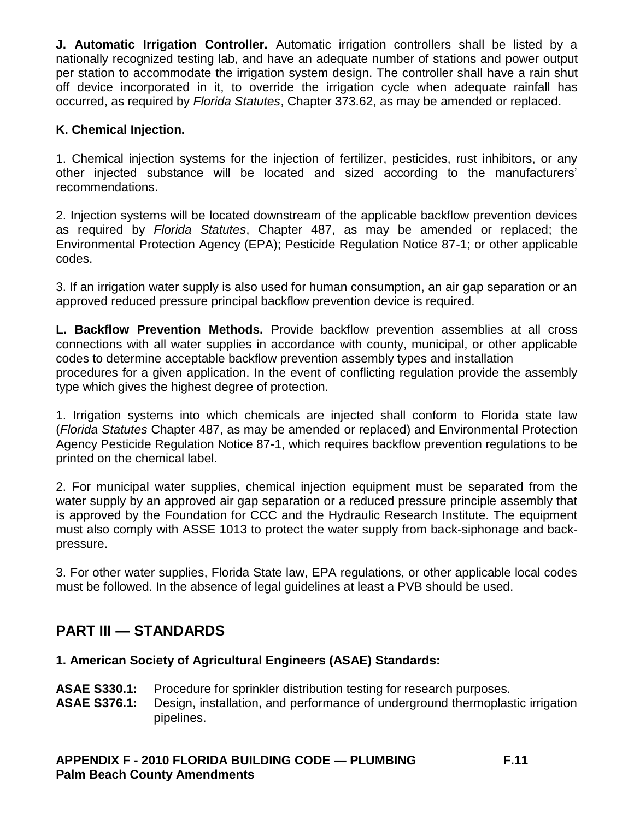**J. Automatic Irrigation Controller.** Automatic irrigation controllers shall be listed by a nationally recognized testing lab, and have an adequate number of stations and power output per station to accommodate the irrigation system design. The controller shall have a rain shut off device incorporated in it, to override the irrigation cycle when adequate rainfall has occurred, as required by *Florida Statutes*, Chapter 373.62, as may be amended or replaced.

### **K. Chemical Injection.**

1. Chemical injection systems for the injection of fertilizer, pesticides, rust inhibitors, or any other injected substance will be located and sized according to the manufacturers' recommendations.

2. Injection systems will be located downstream of the applicable backflow prevention devices as required by *Florida Statutes*, Chapter 487, as may be amended or replaced; the Environmental Protection Agency (EPA); Pesticide Regulation Notice 87-1; or other applicable codes.

3. If an irrigation water supply is also used for human consumption, an air gap separation or an approved reduced pressure principal backflow prevention device is required.

**L. Backflow Prevention Methods.** Provide backflow prevention assemblies at all cross connections with all water supplies in accordance with county, municipal, or other applicable codes to determine acceptable backflow prevention assembly types and installation procedures for a given application. In the event of conflicting regulation provide the assembly type which gives the highest degree of protection.

1. Irrigation systems into which chemicals are injected shall conform to Florida state law (*Florida Statutes* Chapter 487, as may be amended or replaced) and Environmental Protection Agency Pesticide Regulation Notice 87-1, which requires backflow prevention regulations to be printed on the chemical label.

2. For municipal water supplies, chemical injection equipment must be separated from the water supply by an approved air gap separation or a reduced pressure principle assembly that is approved by the Foundation for CCC and the Hydraulic Research Institute. The equipment must also comply with ASSE 1013 to protect the water supply from back-siphonage and backpressure.

3. For other water supplies, Florida State law, EPA regulations, or other applicable local codes must be followed. In the absence of legal guidelines at least a PVB should be used.

## **PART III — STANDARDS**

#### **1. American Society of Agricultural Engineers (ASAE) Standards:**

- **ASAE S330.1:** Procedure for sprinkler distribution testing for research purposes.
- **ASAE S376.1:** Design, installation, and performance of underground thermoplastic irrigation pipelines.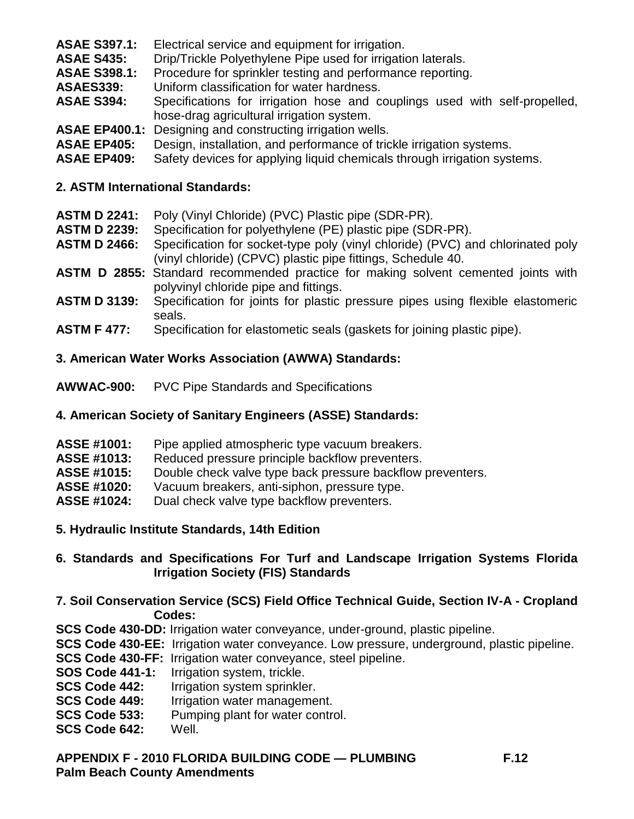- **ASAE S397.1:** Electrical service and equipment for irrigation.
- **ASAE S435:** Drip/Trickle Polyethylene Pipe used for irrigation laterals.
- **ASAE S398.1:** Procedure for sprinkler testing and performance reporting.
- **ASAES339:** Uniform classification for water hardness.
- **ASAE S394:** Specifications for irrigation hose and couplings used with self-propelled, hose-drag agricultural irrigation system.
- **ASAE EP400.1:** Designing and constructing irrigation wells.
- **ASAE EP405:** Design, installation, and performance of trickle irrigation systems.
- **ASAE EP409:** Safety devices for applying liquid chemicals through irrigation systems.

#### **2. ASTM International Standards:**

- **ASTM D 2241:** Poly (Vinyl Chloride) (PVC) Plastic pipe (SDR-PR).
- **ASTM D 2239:** Specification for polyethylene (PE) plastic pipe (SDR-PR).
- **ASTM D 2466:** Specification for socket-type poly (vinyl chloride) (PVC) and chlorinated poly (vinyl chloride) (CPVC) plastic pipe fittings, Schedule 40.
- **ASTM D 2855:** Standard recommended practice for making solvent cemented joints with polyvinyl chloride pipe and fittings.
- **ASTM D 3139:** Specification for joints for plastic pressure pipes using flexible elastomeric seals.
- **ASTM F 477:** Specification for elastometic seals (gaskets for joining plastic pipe).

### **3. American Water Works Association (AWWA) Standards:**

**AWWAC-900:** PVC Pipe Standards and Specifications

## **4. American Society of Sanitary Engineers (ASSE) Standards:**

- **ASSE #1001:** Pipe applied atmospheric type vacuum breakers.
- **ASSE #1013:** Reduced pressure principle backflow preventers.
- **ASSE #1015:** Double check valve type back pressure backflow preventers.
- **ASSE #1020:** Vacuum breakers, anti-siphon, pressure type.
- **ASSE #1024:** Dual check valve type backflow preventers.
- **5. Hydraulic Institute Standards, 14th Edition**

## **6. Standards and Specifications For Turf and Landscape Irrigation Systems Florida Irrigation Society (FIS) Standards**

- **7. Soil Conservation Service (SCS) Field Office Technical Guide, Section IV-A - Cropland Codes:**
- **SCS Code 430-DD:** Irrigation water conveyance, under-ground, plastic pipeline.
- **SCS Code 430-EE:** Irrigation water conveyance. Low pressure, underground, plastic pipeline.
- **SCS Code 430-FF:** Irrigation water conveyance, steel pipeline.<br>**SOS Code 441-1:** Irrigation system, trickle.
- **Irrigation system, trickle.**
- **SCS Code 442:** Irrigation system sprinkler.
- **SCS Code 449:** Irrigation water management.
- **SCS Code 533:** Pumping plant for water control.
- **SCS Code 642:** Well.
- **APPENDIX F - 2010 FLORIDA BUILDING CODE — PLUMBING F.12 Palm Beach County Amendments**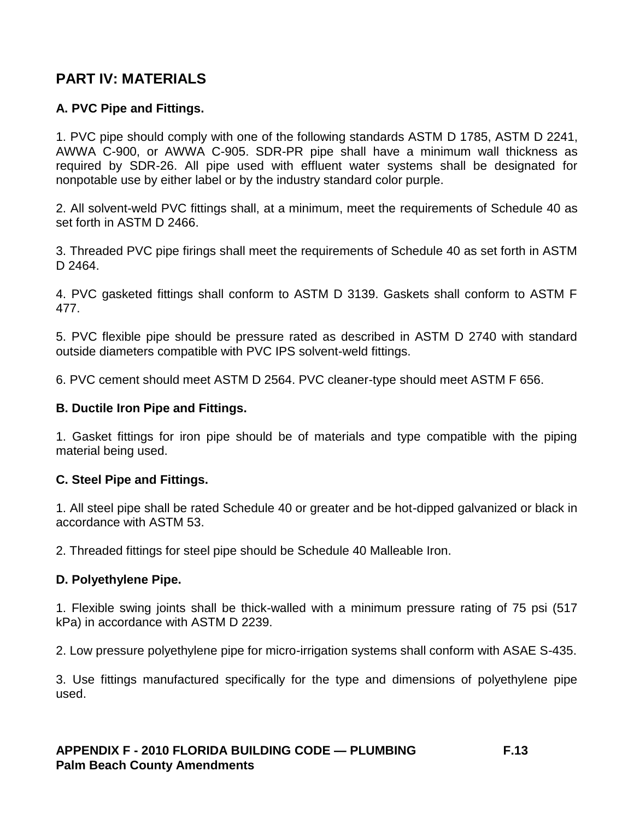## **PART IV: MATERIALS**

## **A. PVC Pipe and Fittings.**

1. PVC pipe should comply with one of the following standards ASTM D 1785, ASTM D 2241, AWWA C-900, or AWWA C-905. SDR-PR pipe shall have a minimum wall thickness as required by SDR-26. All pipe used with effluent water systems shall be designated for nonpotable use by either label or by the industry standard color purple.

2. All solvent-weld PVC fittings shall, at a minimum, meet the requirements of Schedule 40 as set forth in ASTM D 2466.

3. Threaded PVC pipe firings shall meet the requirements of Schedule 40 as set forth in ASTM D 2464.

4. PVC gasketed fittings shall conform to ASTM D 3139. Gaskets shall conform to ASTM F 477.

5. PVC flexible pipe should be pressure rated as described in ASTM D 2740 with standard outside diameters compatible with PVC IPS solvent-weld fittings.

6. PVC cement should meet ASTM D 2564. PVC cleaner-type should meet ASTM F 656.

#### **B. Ductile Iron Pipe and Fittings.**

1. Gasket fittings for iron pipe should be of materials and type compatible with the piping material being used.

#### **C. Steel Pipe and Fittings.**

1. All steel pipe shall be rated Schedule 40 or greater and be hot-dipped galvanized or black in accordance with ASTM 53.

2. Threaded fittings for steel pipe should be Schedule 40 Malleable Iron.

#### **D. Polyethylene Pipe.**

1. Flexible swing joints shall be thick-walled with a minimum pressure rating of 75 psi (517 kPa) in accordance with ASTM D 2239.

2. Low pressure polyethylene pipe for micro-irrigation systems shall conform with ASAE S-435.

3. Use fittings manufactured specifically for the type and dimensions of polyethylene pipe used.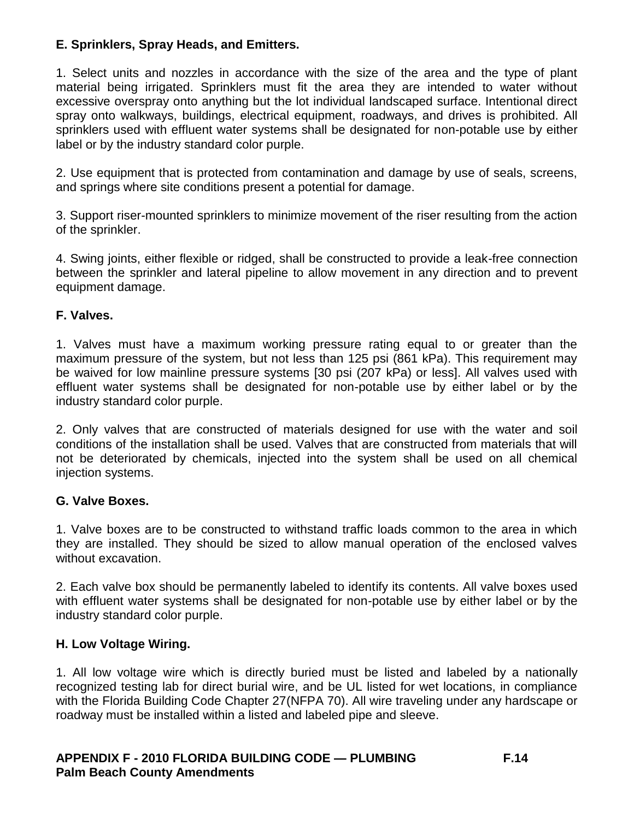## **E. Sprinklers, Spray Heads, and Emitters.**

1. Select units and nozzles in accordance with the size of the area and the type of plant material being irrigated. Sprinklers must fit the area they are intended to water without excessive overspray onto anything but the lot individual landscaped surface. Intentional direct spray onto walkways, buildings, electrical equipment, roadways, and drives is prohibited. All sprinklers used with effluent water systems shall be designated for non-potable use by either label or by the industry standard color purple.

2. Use equipment that is protected from contamination and damage by use of seals, screens, and springs where site conditions present a potential for damage.

3. Support riser-mounted sprinklers to minimize movement of the riser resulting from the action of the sprinkler.

4. Swing joints, either flexible or ridged, shall be constructed to provide a leak-free connection between the sprinkler and lateral pipeline to allow movement in any direction and to prevent equipment damage.

## **F. Valves.**

1. Valves must have a maximum working pressure rating equal to or greater than the maximum pressure of the system, but not less than 125 psi (861 kPa). This requirement may be waived for low mainline pressure systems [30 psi (207 kPa) or less]. All valves used with effluent water systems shall be designated for non-potable use by either label or by the industry standard color purple.

2. Only valves that are constructed of materials designed for use with the water and soil conditions of the installation shall be used. Valves that are constructed from materials that will not be deteriorated by chemicals, injected into the system shall be used on all chemical injection systems.

## **G. Valve Boxes.**

1. Valve boxes are to be constructed to withstand traffic loads common to the area in which they are installed. They should be sized to allow manual operation of the enclosed valves without excavation.

2. Each valve box should be permanently labeled to identify its contents. All valve boxes used with effluent water systems shall be designated for non-potable use by either label or by the industry standard color purple.

## **H. Low Voltage Wiring.**

1. All low voltage wire which is directly buried must be listed and labeled by a nationally recognized testing lab for direct burial wire, and be UL listed for wet locations, in compliance with the Florida Building Code Chapter 27(NFPA 70). All wire traveling under any hardscape or roadway must be installed within a listed and labeled pipe and sleeve.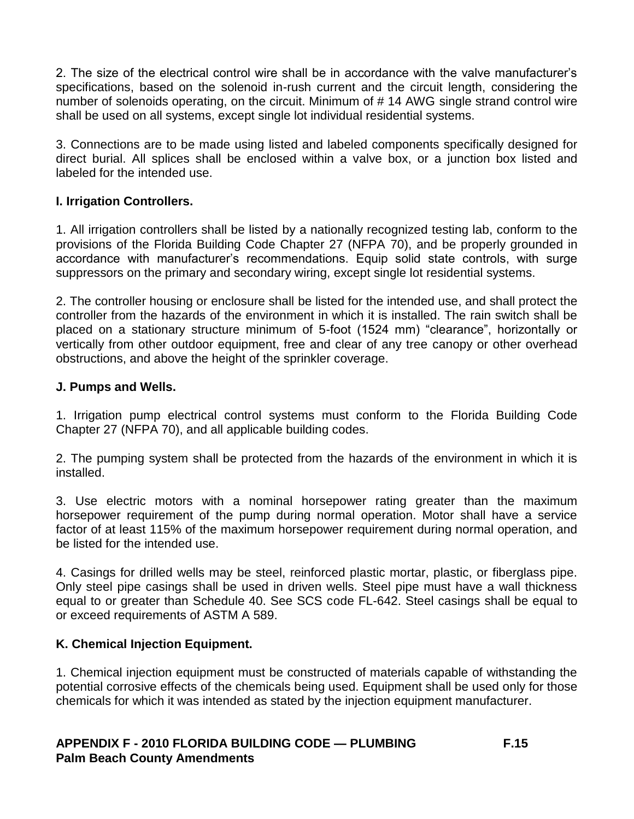2. The size of the electrical control wire shall be in accordance with the valve manufacturer's specifications, based on the solenoid in-rush current and the circuit length, considering the number of solenoids operating, on the circuit. Minimum of # 14 AWG single strand control wire shall be used on all systems, except single lot individual residential systems.

3. Connections are to be made using listed and labeled components specifically designed for direct burial. All splices shall be enclosed within a valve box, or a junction box listed and labeled for the intended use.

### **I. Irrigation Controllers.**

1. All irrigation controllers shall be listed by a nationally recognized testing lab, conform to the provisions of the Florida Building Code Chapter 27 (NFPA 70), and be properly grounded in accordance with manufacturer's recommendations. Equip solid state controls, with surge suppressors on the primary and secondary wiring, except single lot residential systems.

2. The controller housing or enclosure shall be listed for the intended use, and shall protect the controller from the hazards of the environment in which it is installed. The rain switch shall be placed on a stationary structure minimum of 5-foot (1524 mm) "clearance", horizontally or vertically from other outdoor equipment, free and clear of any tree canopy or other overhead obstructions, and above the height of the sprinkler coverage.

### **J. Pumps and Wells.**

1. Irrigation pump electrical control systems must conform to the Florida Building Code Chapter 27 (NFPA 70), and all applicable building codes.

2. The pumping system shall be protected from the hazards of the environment in which it is installed.

3. Use electric motors with a nominal horsepower rating greater than the maximum horsepower requirement of the pump during normal operation. Motor shall have a service factor of at least 115% of the maximum horsepower requirement during normal operation, and be listed for the intended use.

4. Casings for drilled wells may be steel, reinforced plastic mortar, plastic, or fiberglass pipe. Only steel pipe casings shall be used in driven wells. Steel pipe must have a wall thickness equal to or greater than Schedule 40. See SCS code FL-642. Steel casings shall be equal to or exceed requirements of ASTM A 589.

## **K. Chemical Injection Equipment.**

1. Chemical injection equipment must be constructed of materials capable of withstanding the potential corrosive effects of the chemicals being used. Equipment shall be used only for those chemicals for which it was intended as stated by the injection equipment manufacturer.

### **APPENDIX F - 2010 FLORIDA BUILDING CODE — PLUMBING F.15 Palm Beach County Amendments**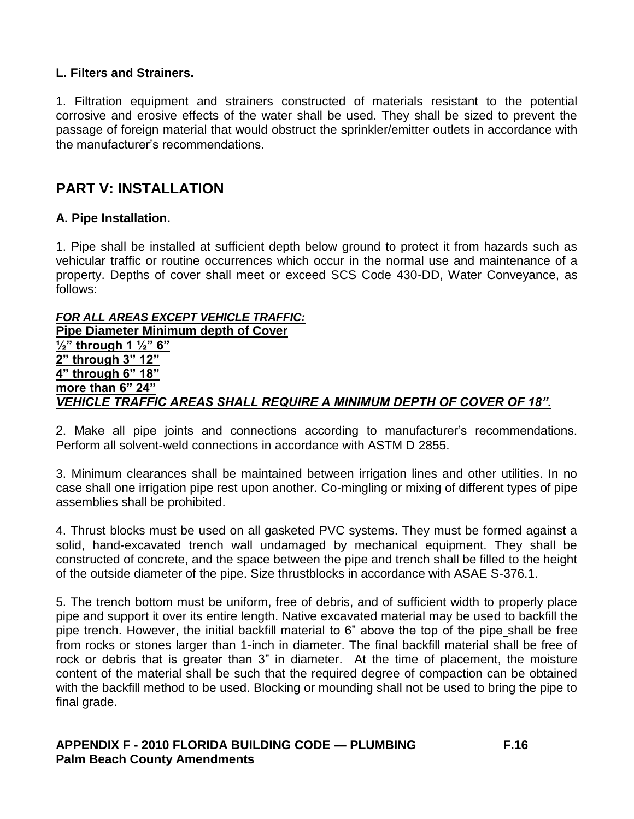### **L. Filters and Strainers.**

1. Filtration equipment and strainers constructed of materials resistant to the potential corrosive and erosive effects of the water shall be used. They shall be sized to prevent the passage of foreign material that would obstruct the sprinkler/emitter outlets in accordance with the manufacturer's recommendations.

## **PART V: INSTALLATION**

#### **A. Pipe Installation.**

1. Pipe shall be installed at sufficient depth below ground to protect it from hazards such as vehicular traffic or routine occurrences which occur in the normal use and maintenance of a property. Depths of cover shall meet or exceed SCS Code 430-DD, Water Conveyance, as follows:

*FOR ALL AREAS EXCEPT VEHICLE TRAFFIC:*  **Pipe Diameter Minimum depth of Cover ½" through 1 ½" 6" 2" through 3" 12" 4" through 6" 18" more than 6" 24"**  *VEHICLE TRAFFIC AREAS SHALL REQUIRE A MINIMUM DEPTH OF COVER OF 18".*

2. Make all pipe joints and connections according to manufacturer's recommendations. Perform all solvent-weld connections in accordance with ASTM D 2855.

3. Minimum clearances shall be maintained between irrigation lines and other utilities. In no case shall one irrigation pipe rest upon another. Co-mingling or mixing of different types of pipe assemblies shall be prohibited.

4. Thrust blocks must be used on all gasketed PVC systems. They must be formed against a solid, hand-excavated trench wall undamaged by mechanical equipment. They shall be constructed of concrete, and the space between the pipe and trench shall be filled to the height of the outside diameter of the pipe. Size thrustblocks in accordance with ASAE S-376.1.

5. The trench bottom must be uniform, free of debris, and of sufficient width to properly place pipe and support it over its entire length. Native excavated material may be used to backfill the pipe trench. However, the initial backfill material to 6" above the top of the pipe shall be free from rocks or stones larger than 1-inch in diameter. The final backfill material shall be free of rock or debris that is greater than 3" in diameter. At the time of placement, the moisture content of the material shall be such that the required degree of compaction can be obtained with the backfill method to be used. Blocking or mounding shall not be used to bring the pipe to final grade.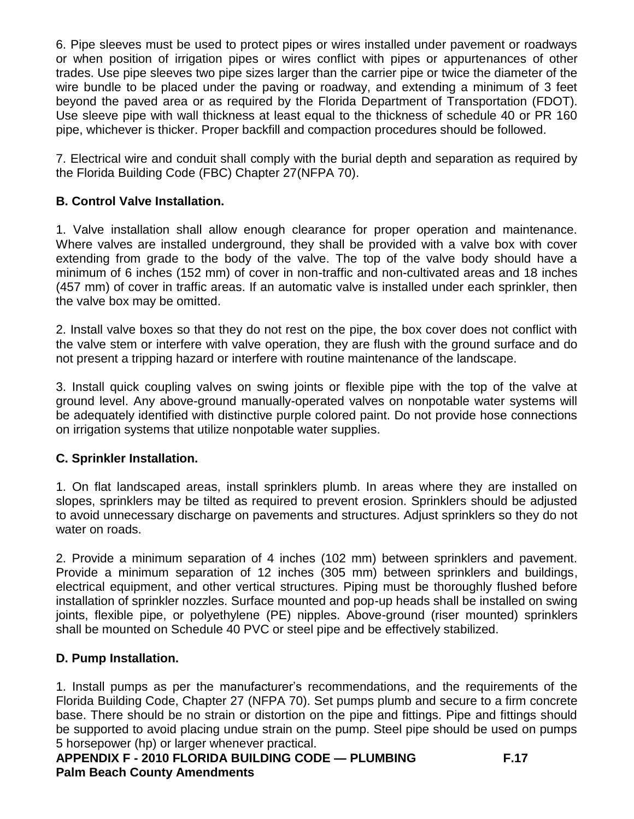6. Pipe sleeves must be used to protect pipes or wires installed under pavement or roadways or when position of irrigation pipes or wires conflict with pipes or appurtenances of other trades. Use pipe sleeves two pipe sizes larger than the carrier pipe or twice the diameter of the wire bundle to be placed under the paving or roadway, and extending a minimum of 3 feet beyond the paved area or as required by the Florida Department of Transportation (FDOT). Use sleeve pipe with wall thickness at least equal to the thickness of schedule 40 or PR 160 pipe, whichever is thicker. Proper backfill and compaction procedures should be followed.

7. Electrical wire and conduit shall comply with the burial depth and separation as required by the Florida Building Code (FBC) Chapter 27(NFPA 70).

## **B. Control Valve Installation.**

1. Valve installation shall allow enough clearance for proper operation and maintenance. Where valves are installed underground, they shall be provided with a valve box with cover extending from grade to the body of the valve. The top of the valve body should have a minimum of 6 inches (152 mm) of cover in non-traffic and non-cultivated areas and 18 inches (457 mm) of cover in traffic areas. If an automatic valve is installed under each sprinkler, then the valve box may be omitted.

2. Install valve boxes so that they do not rest on the pipe, the box cover does not conflict with the valve stem or interfere with valve operation, they are flush with the ground surface and do not present a tripping hazard or interfere with routine maintenance of the landscape.

3. Install quick coupling valves on swing joints or flexible pipe with the top of the valve at ground level. Any above-ground manually-operated valves on nonpotable water systems will be adequately identified with distinctive purple colored paint. Do not provide hose connections on irrigation systems that utilize nonpotable water supplies.

## **C. Sprinkler Installation.**

1. On flat landscaped areas, install sprinklers plumb. In areas where they are installed on slopes, sprinklers may be tilted as required to prevent erosion. Sprinklers should be adjusted to avoid unnecessary discharge on pavements and structures. Adjust sprinklers so they do not water on roads.

2. Provide a minimum separation of 4 inches (102 mm) between sprinklers and pavement. Provide a minimum separation of 12 inches (305 mm) between sprinklers and buildings, electrical equipment, and other vertical structures. Piping must be thoroughly flushed before installation of sprinkler nozzles. Surface mounted and pop-up heads shall be installed on swing joints, flexible pipe, or polyethylene (PE) nipples. Above-ground (riser mounted) sprinklers shall be mounted on Schedule 40 PVC or steel pipe and be effectively stabilized.

## **D. Pump Installation.**

1. Install pumps as per the manufacturer's recommendations, and the requirements of the Florida Building Code, Chapter 27 (NFPA 70). Set pumps plumb and secure to a firm concrete base. There should be no strain or distortion on the pipe and fittings. Pipe and fittings should be supported to avoid placing undue strain on the pump. Steel pipe should be used on pumps 5 horsepower (hp) or larger whenever practical.

```
APPENDIX F - 2010 FLORIDA BUILDING CODE — PLUMBING F.17 
Palm Beach County Amendments
```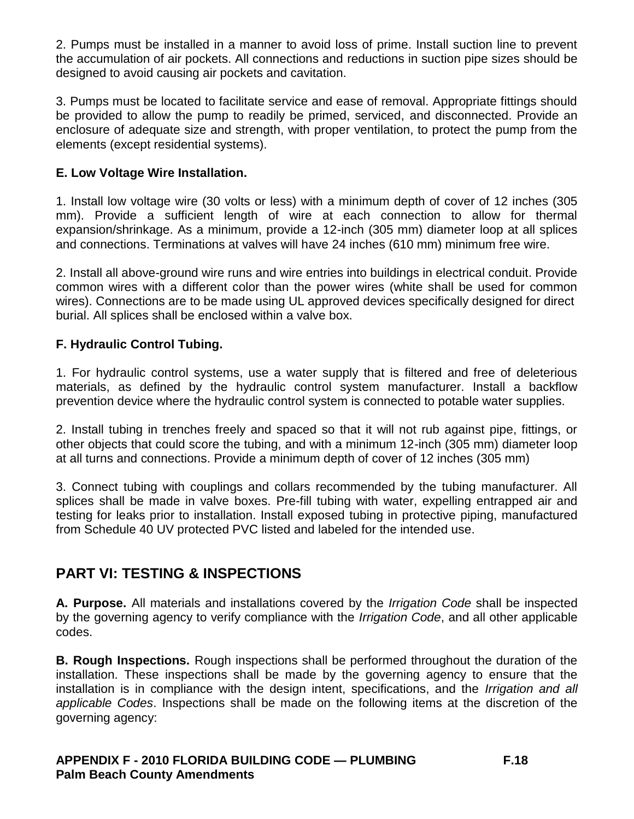2. Pumps must be installed in a manner to avoid loss of prime. Install suction line to prevent the accumulation of air pockets. All connections and reductions in suction pipe sizes should be designed to avoid causing air pockets and cavitation.

3. Pumps must be located to facilitate service and ease of removal. Appropriate fittings should be provided to allow the pump to readily be primed, serviced, and disconnected. Provide an enclosure of adequate size and strength, with proper ventilation, to protect the pump from the elements (except residential systems).

## **E. Low Voltage Wire Installation.**

1. Install low voltage wire (30 volts or less) with a minimum depth of cover of 12 inches (305 mm). Provide a sufficient length of wire at each connection to allow for thermal expansion/shrinkage. As a minimum, provide a 12-inch (305 mm) diameter loop at all splices and connections. Terminations at valves will have 24 inches (610 mm) minimum free wire.

2. Install all above-ground wire runs and wire entries into buildings in electrical conduit. Provide common wires with a different color than the power wires (white shall be used for common wires). Connections are to be made using UL approved devices specifically designed for direct burial. All splices shall be enclosed within a valve box.

### **F. Hydraulic Control Tubing.**

1. For hydraulic control systems, use a water supply that is filtered and free of deleterious materials, as defined by the hydraulic control system manufacturer. Install a backflow prevention device where the hydraulic control system is connected to potable water supplies.

2. Install tubing in trenches freely and spaced so that it will not rub against pipe, fittings, or other objects that could score the tubing, and with a minimum 12-inch (305 mm) diameter loop at all turns and connections. Provide a minimum depth of cover of 12 inches (305 mm)

3. Connect tubing with couplings and collars recommended by the tubing manufacturer. All splices shall be made in valve boxes. Pre-fill tubing with water, expelling entrapped air and testing for leaks prior to installation. Install exposed tubing in protective piping, manufactured from Schedule 40 UV protected PVC listed and labeled for the intended use.

## **PART VI: TESTING & INSPECTIONS**

**A. Purpose.** All materials and installations covered by the *Irrigation Code* shall be inspected by the governing agency to verify compliance with the *Irrigation Code*, and all other applicable codes.

**B. Rough Inspections.** Rough inspections shall be performed throughout the duration of the installation. These inspections shall be made by the governing agency to ensure that the installation is in compliance with the design intent, specifications, and the *Irrigation and all applicable Codes*. Inspections shall be made on the following items at the discretion of the governing agency: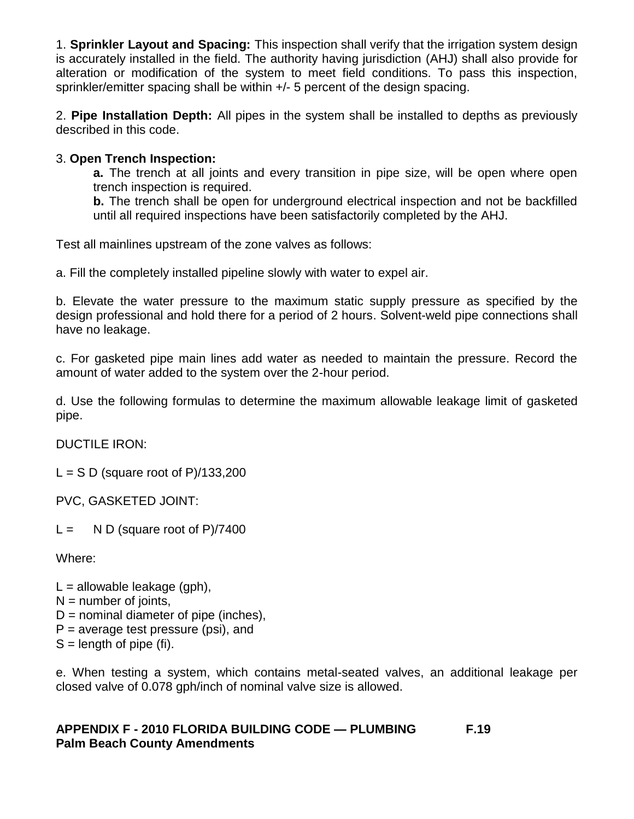1. **Sprinkler Layout and Spacing:** This inspection shall verify that the irrigation system design is accurately installed in the field. The authority having jurisdiction (AHJ) shall also provide for alteration or modification of the system to meet field conditions. To pass this inspection, sprinkler/emitter spacing shall be within +/- 5 percent of the design spacing.

2. **Pipe Installation Depth:** All pipes in the system shall be installed to depths as previously described in this code.

### 3. **Open Trench Inspection:**

**a.** The trench at all joints and every transition in pipe size, will be open where open trench inspection is required.

**b.** The trench shall be open for underground electrical inspection and not be backfilled until all required inspections have been satisfactorily completed by the AHJ.

Test all mainlines upstream of the zone valves as follows:

a. Fill the completely installed pipeline slowly with water to expel air.

b. Elevate the water pressure to the maximum static supply pressure as specified by the design professional and hold there for a period of 2 hours. Solvent-weld pipe connections shall have no leakage.

c. For gasketed pipe main lines add water as needed to maintain the pressure. Record the amount of water added to the system over the 2-hour period.

d. Use the following formulas to determine the maximum allowable leakage limit of gasketed pipe.

DUCTILE IRON:

 $L = S D$  (square root of P)/133,200

PVC, GASKETED JOINT:

 $L = N D$  (square root of P)/7400

Where:

- $L =$  allowable leakage (gph).  $N =$  number of joints,  $D =$  nominal diameter of pipe (inches),  $P =$  average test pressure (psi), and
- $S =$  length of pipe (fi).

e. When testing a system, which contains metal-seated valves, an additional leakage per closed valve of 0.078 gph/inch of nominal valve size is allowed.

### **APPENDIX F - 2010 FLORIDA BUILDING CODE — PLUMBING F.19 Palm Beach County Amendments**